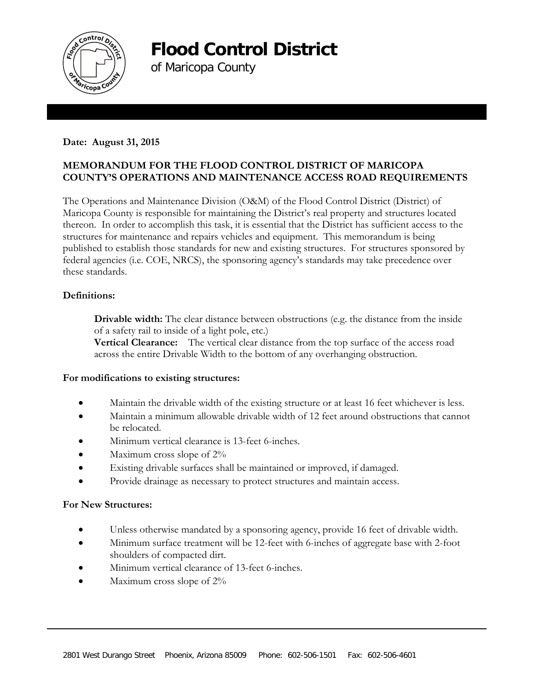

**Flood Control District** 

of Maricopa County

# **Date: August 31, 2015**

# **MEMORANDUM FOR THE FLOOD CONTROL DISTRICT OF MARICOPA COUNTY'S OPERATIONS AND MAINTENANCE ACCESS ROAD REQUIREMENTS**

The Operations and Maintenance Division (O&M) of the Flood Control District (District) of Maricopa County is responsible for maintaining the District's real property and structures located thereon. In order to accomplish this task, it is essential that the District has sufficient access to the structures for maintenance and repairs vehicles and equipment. This memorandum is being published to establish those standards for new and existing structures. For structures sponsored by federal agencies (i.e. COE, NRCS), the sponsoring agency's standards may take precedence over these standards.

## **Definitions:**

**Drivable width:** The clear distance between obstructions (e.g. the distance from the inside of a safety rail to inside of a light pole, etc.)

**Vertical Clearance:** The vertical clear distance from the top surface of the access road across the entire Drivable Width to the bottom of any overhanging obstruction.

## **For modifications to existing structures:**

- Maintain the drivable width of the existing structure or at least 16 feet whichever is less.
- Maintain a minimum allowable drivable width of 12 feet around obstructions that cannot be relocated.
- Minimum vertical clearance is 13-feet 6-inches.
- Maximum cross slope of  $2\%$
- Existing drivable surfaces shall be maintained or improved, if damaged.
- Provide drainage as necessary to protect structures and maintain access.

#### **For New Structures:**

- Unless otherwise mandated by a sponsoring agency, provide 16 feet of drivable width.
- Minimum surface treatment will be 12-feet with 6-inches of aggregate base with 2-foot shoulders of compacted dirt.
- Minimum vertical clearance of 13-feet 6-inches.
- Maximum cross slope of  $2\%$